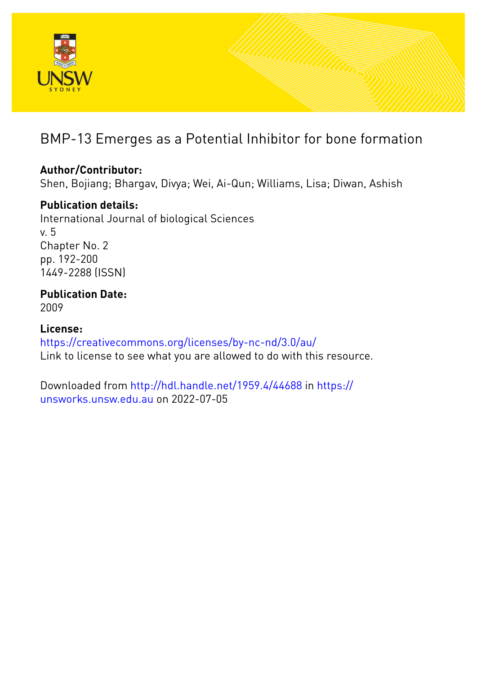

# BMP-13 Emerges as a Potential Inhibitor for bone formation

# **Author/Contributor:**

Shen, Bojiang; Bhargav, Divya; Wei, Ai-Qun; Williams, Lisa; Diwan, Ashish

# **Publication details:**

International Journal of biological Sciences v. 5 Chapter No. 2 pp. 192-200 1449-2288 (ISSN)

# **Publication Date:** 2009

**License:** <https://creativecommons.org/licenses/by-nc-nd/3.0/au/> Link to license to see what you are allowed to do with this resource.

Downloaded from <http://hdl.handle.net/1959.4/44688> in [https://](https://unsworks.unsw.edu.au) [unsworks.unsw.edu.au](https://unsworks.unsw.edu.au) on 2022-07-05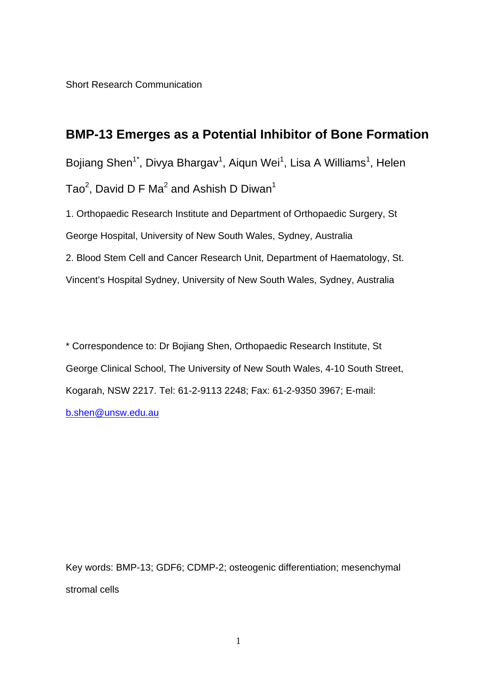Short Research Communication

# **BMP-13 Emerges as a Potential Inhibitor of Bone Formation**

Bojiang Shen<sup>1\*</sup>, Divya Bhargav<sup>1</sup>, Aiqun Wei<sup>1</sup>, Lisa A Williams<sup>1</sup>, Helen Tao $^2$ , David D F Ma $^2$  and Ashish D Diwan $^1$ 

1. Orthopaedic Research Institute and Department of Orthopaedic Surgery, St George Hospital, University of New South Wales, Sydney, Australia 2. Blood Stem Cell and Cancer Research Unit, Department of Haematology, St. Vincent's Hospital Sydney, University of New South Wales, Sydney, Australia

\* Correspondence to: Dr Bojiang Shen, Orthopaedic Research Institute, St George Clinical School, The University of New South Wales, 4-10 South Street, Kogarah, NSW 2217. Tel: 61-2-9113 2248; Fax: 61-2-9350 3967; E-mail: b.shen@unsw.edu.au

Key words: BMP-13; GDF6; CDMP-2; osteogenic differentiation; mesenchymal stromal cells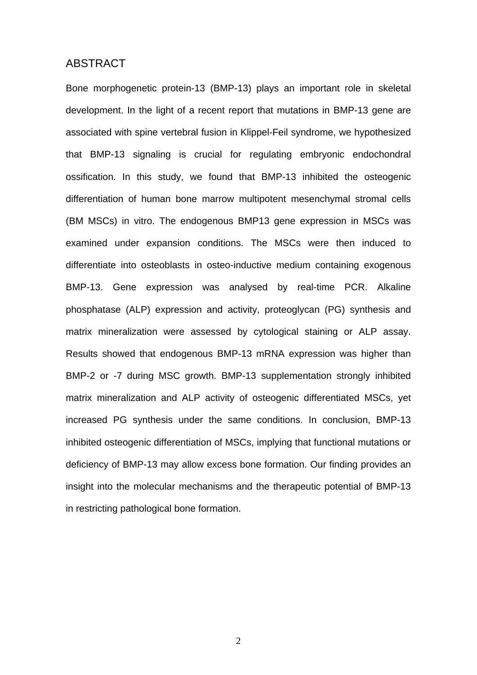# ABSTRACT

Bone morphogenetic protein-13 (BMP-13) plays an important role in skeletal development. In the light of a recent report that mutations in BMP-13 gene are associated with spine vertebral fusion in Klippel-Feil syndrome, we hypothesized that BMP-13 signaling is crucial for regulating embryonic endochondral ossification. In this study, we found that BMP-13 inhibited the osteogenic differentiation of human bone marrow multipotent mesenchymal stromal cells (BM MSCs) in vitro. The endogenous BMP13 gene expression in MSCs was examined under expansion conditions. The MSCs were then induced to differentiate into osteoblasts in osteo-inductive medium containing exogenous BMP-13. Gene expression was analysed by real-time PCR. Alkaline phosphatase (ALP) expression and activity, proteoglycan (PG) synthesis and matrix mineralization were assessed by cytological staining or ALP assay. Results showed that endogenous BMP-13 mRNA expression was higher than BMP-2 or -7 during MSC growth. BMP-13 supplementation strongly inhibited matrix mineralization and ALP activity of osteogenic differentiated MSCs, yet increased PG synthesis under the same conditions. In conclusion, BMP-13 inhibited osteogenic differentiation of MSCs, implying that functional mutations or deficiency of BMP-13 may allow excess bone formation. Our finding provides an insight into the molecular mechanisms and the therapeutic potential of BMP-13 in restricting pathological bone formation.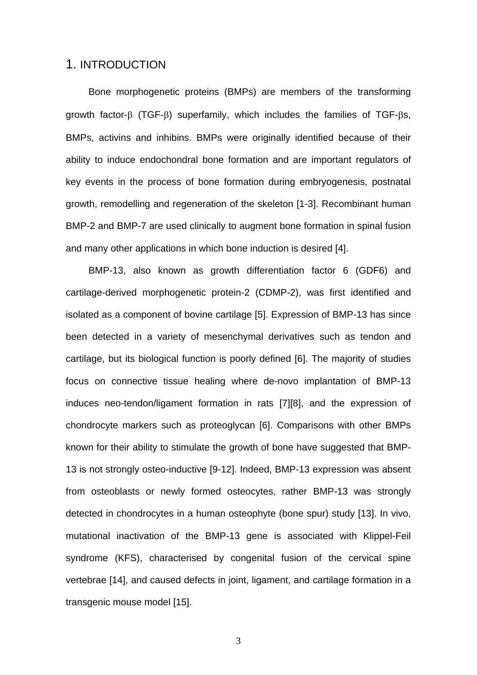### 1. INTRODUCTION

Bone morphogenetic proteins (BMPs) are members of the transforming growth factor-β (TGF-β) superfamily, which includes the families of TGF-βs, BMPs, activins and inhibins. BMPs were originally identified because of their ability to induce endochondral bone formation and are important regulators of key events in the process of bone formation during embryogenesis, postnatal growth, remodelling and regeneration of the skeleton [1-3]. Recombinant human BMP-2 and BMP-7 are used clinically to augment bone formation in spinal fusion and many other applications in which bone induction is desired [4].

BMP-13, also known as growth differentiation factor 6 (GDF6) and cartilage-derived morphogenetic protein-2 (CDMP-2), was first identified and isolated as a component of bovine cartilage [5]. Expression of BMP-13 has since been detected in a variety of mesenchymal derivatives such as tendon and cartilage, but its biological function is poorly defined [6]. The majority of studies focus on connective tissue healing where de-novo implantation of BMP-13 induces neo-tendon/ligament formation in rats [7][8], and the expression of chondrocyte markers such as proteoglycan [6]. Comparisons with other BMPs known for their ability to stimulate the growth of bone have suggested that BMP-13 is not strongly osteo-inductive [9-12]. Indeed, BMP-13 expression was absent from osteoblasts or newly formed osteocytes, rather BMP-13 was strongly detected in chondrocytes in a human osteophyte (bone spur) study [13]. In vivo, mutational inactivation of the BMP-13 gene is associated with Klippel-Feil syndrome (KFS), characterised by congenital fusion of the cervical spine vertebrae [14], and caused defects in joint, ligament, and cartilage formation in a transgenic mouse model [15].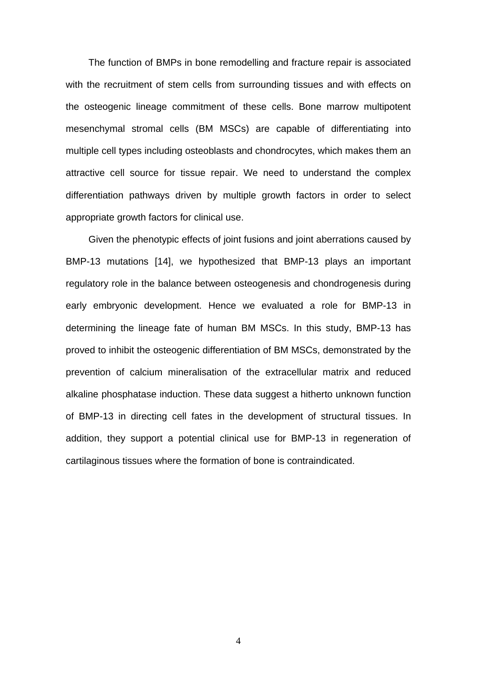The function of BMPs in bone remodelling and fracture repair is associated with the recruitment of stem cells from surrounding tissues and with effects on the osteogenic lineage commitment of these cells. Bone marrow multipotent mesenchymal stromal cells (BM MSCs) are capable of differentiating into multiple cell types including osteoblasts and chondrocytes, which makes them an attractive cell source for tissue repair. We need to understand the complex differentiation pathways driven by multiple growth factors in order to select appropriate growth factors for clinical use.

Given the phenotypic effects of joint fusions and joint aberrations caused by BMP-13 mutations [14], we hypothesized that BMP-13 plays an important regulatory role in the balance between osteogenesis and chondrogenesis during early embryonic development. Hence we evaluated a role for BMP-13 in determining the lineage fate of human BM MSCs. In this study, BMP-13 has proved to inhibit the osteogenic differentiation of BM MSCs, demonstrated by the prevention of calcium mineralisation of the extracellular matrix and reduced alkaline phosphatase induction. These data suggest a hitherto unknown function of BMP-13 in directing cell fates in the development of structural tissues. In addition, they support a potential clinical use for BMP-13 in regeneration of cartilaginous tissues where the formation of bone is contraindicated.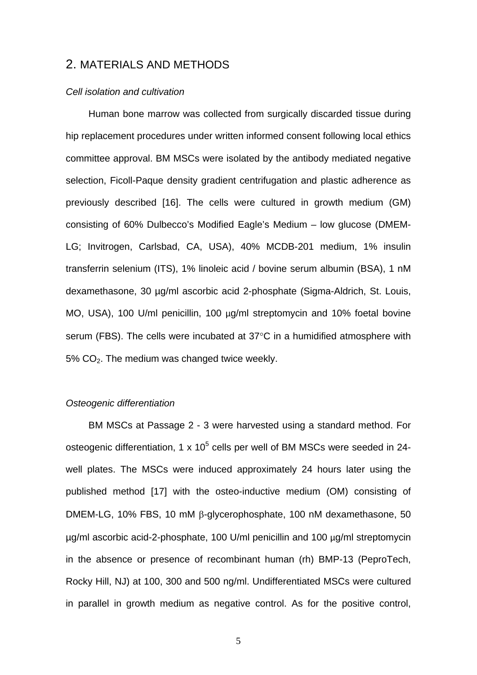### 2. MATERIALS AND METHODS

#### *Cell isolation and cultivation*

Human bone marrow was collected from surgically discarded tissue during hip replacement procedures under written informed consent following local ethics committee approval. BM MSCs were isolated by the antibody mediated negative selection, Ficoll-Paque density gradient centrifugation and plastic adherence as previously described [16]. The cells were cultured in growth medium (GM) consisting of 60% Dulbecco's Modified Eagle's Medium – low glucose (DMEM-LG; Invitrogen, Carlsbad, CA, USA), 40% MCDB-201 medium, 1% insulin transferrin selenium (ITS), 1% linoleic acid / bovine serum albumin (BSA), 1 nM dexamethasone, 30 µg/ml ascorbic acid 2-phosphate (Sigma-Aldrich, St. Louis, MO, USA), 100 U/ml penicillin, 100 µg/ml streptomycin and 10% foetal bovine serum (FBS). The cells were incubated at 37°C in a humidified atmosphere with 5% CO2. The medium was changed twice weekly.

#### *Osteogenic differentiation*

BM MSCs at Passage 2 - 3 were harvested using a standard method. For osteogenic differentiation, 1 x 10<sup>5</sup> cells per well of BM MSCs were seeded in 24well plates. The MSCs were induced approximately 24 hours later using the published method [17] with the osteo-inductive medium (OM) consisting of DMEM-LG, 10% FBS, 10 mM β-glycerophosphate, 100 nM dexamethasone, 50 µg/ml ascorbic acid-2-phosphate, 100 U/ml penicillin and 100 µg/ml streptomycin in the absence or presence of recombinant human (rh) BMP-13 (PeproTech, Rocky Hill, NJ) at 100, 300 and 500 ng/ml. Undifferentiated MSCs were cultured in parallel in growth medium as negative control. As for the positive control,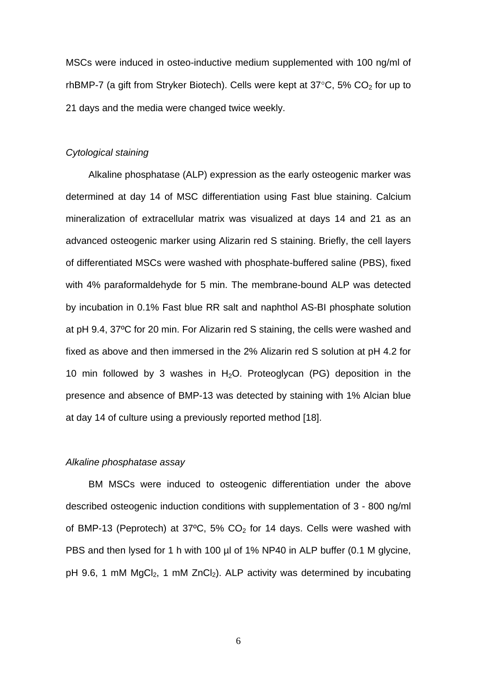MSCs were induced in osteo-inductive medium supplemented with 100 ng/ml of rhBMP-7 (a gift from Stryker Biotech). Cells were kept at  $37^{\circ}$ C, 5% CO<sub>2</sub> for up to 21 days and the media were changed twice weekly.

#### *Cytological staining*

Alkaline phosphatase (ALP) expression as the early osteogenic marker was determined at day 14 of MSC differentiation using Fast blue staining. Calcium mineralization of extracellular matrix was visualized at days 14 and 21 as an advanced osteogenic marker using Alizarin red S staining. Briefly, the cell layers of differentiated MSCs were washed with phosphate-buffered saline (PBS), fixed with 4% paraformaldehyde for 5 min. The membrane-bound ALP was detected by incubation in 0.1% Fast blue RR salt and naphthol AS-BI phosphate solution at pH 9.4, 37ºC for 20 min. For Alizarin red S staining, the cells were washed and fixed as above and then immersed in the 2% Alizarin red S solution at pH 4.2 for 10 min followed by 3 washes in  $H_2O$ . Proteoglycan (PG) deposition in the presence and absence of BMP-13 was detected by staining with 1% Alcian blue at day 14 of culture using a previously reported method [18].

#### *Alkaline phosphatase assay*

 BM MSCs were induced to osteogenic differentiation under the above described osteogenic induction conditions with supplementation of 3 - 800 ng/ml of BMP-13 (Peprotech) at  $37^{\circ}$ C, 5% CO<sub>2</sub> for 14 days. Cells were washed with PBS and then lysed for 1 h with 100 µl of 1% NP40 in ALP buffer (0.1 M glycine, pH 9.6, 1 mM  $MgCl<sub>2</sub>$ , 1 mM  $ZnCl<sub>2</sub>$ ). ALP activity was determined by incubating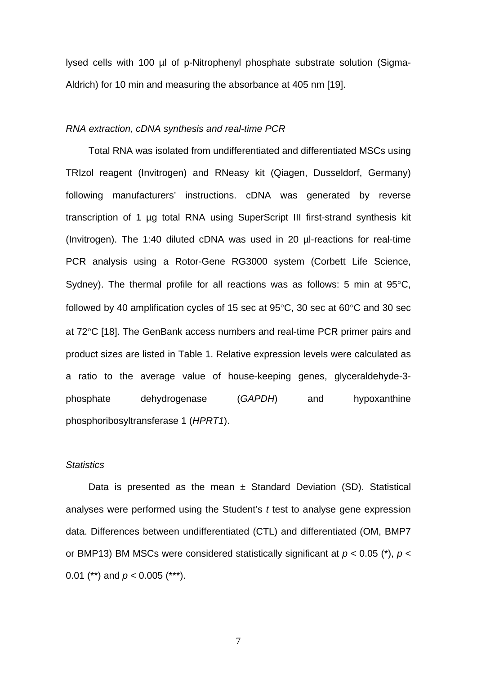lysed cells with 100 µl of p-Nitrophenyl phosphate substrate solution (Sigma-Aldrich) for 10 min and measuring the absorbance at 405 nm [19].

#### *RNA extraction, cDNA synthesis and real-time PCR*

Total RNA was isolated from undifferentiated and differentiated MSCs using TRIzol reagent (Invitrogen) and RNeasy kit (Qiagen, Dusseldorf, Germany) following manufacturers' instructions. cDNA was generated by reverse transcription of 1 µg total RNA using SuperScript III first-strand synthesis kit (Invitrogen). The 1:40 diluted cDNA was used in 20 µl-reactions for real-time PCR analysis using a Rotor-Gene RG3000 system (Corbett Life Science, Sydney). The thermal profile for all reactions was as follows: 5 min at 95°C, followed by 40 amplification cycles of 15 sec at 95°C, 30 sec at 60°C and 30 sec at 72°C [18]. The GenBank access numbers and real-time PCR primer pairs and product sizes are listed in Table 1. Relative expression levels were calculated as a ratio to the average value of house-keeping genes, glyceraldehyde-3 phosphate dehydrogenase (*GAPDH*) and hypoxanthine phosphoribosyltransferase 1 (*HPRT1*).

#### *Statistics*

Data is presented as the mean  $\pm$  Standard Deviation (SD). Statistical analyses were performed using the Student's *t* test to analyse gene expression data. Differences between undifferentiated (CTL) and differentiated (OM, BMP7 or BMP13) BM MSCs were considered statistically significant at *p* < 0.05 (\*), *p* < 0.01 (\*\*) and *p* < 0.005 (\*\*\*).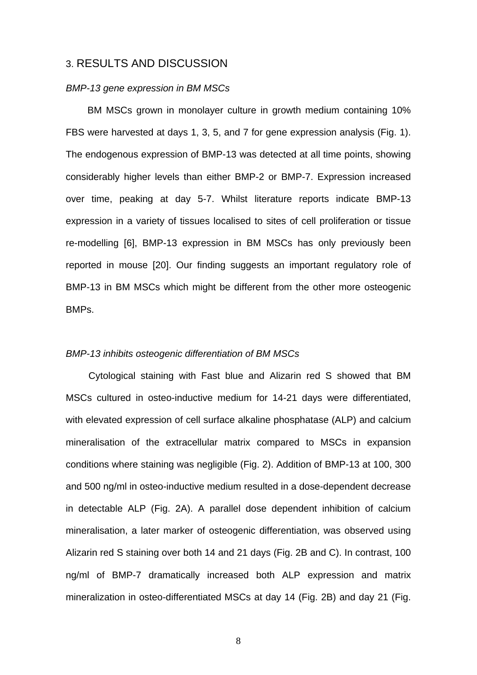### 3. RESULTS AND DISCUSSION

#### *BMP-13 gene expression in BM MSCs*

 BM MSCs grown in monolayer culture in growth medium containing 10% FBS were harvested at days 1, 3, 5, and 7 for gene expression analysis (Fig. 1). The endogenous expression of BMP-13 was detected at all time points, showing considerably higher levels than either BMP-2 or BMP-7. Expression increased over time, peaking at day 5-7. Whilst literature reports indicate BMP-13 expression in a variety of tissues localised to sites of cell proliferation or tissue re-modelling [6], BMP-13 expression in BM MSCs has only previously been reported in mouse [20]. Our finding suggests an important regulatory role of BMP-13 in BM MSCs which might be different from the other more osteogenic BMPs.

#### *BMP-13 inhibits osteogenic differentiation of BM MSCs*

Cytological staining with Fast blue and Alizarin red S showed that BM MSCs cultured in osteo-inductive medium for 14-21 days were differentiated, with elevated expression of cell surface alkaline phosphatase (ALP) and calcium mineralisation of the extracellular matrix compared to MSCs in expansion conditions where staining was negligible (Fig. 2). Addition of BMP-13 at 100, 300 and 500 ng/ml in osteo-inductive medium resulted in a dose-dependent decrease in detectable ALP (Fig. 2A). A parallel dose dependent inhibition of calcium mineralisation, a later marker of osteogenic differentiation, was observed using Alizarin red S staining over both 14 and 21 days (Fig. 2B and C). In contrast, 100 ng/ml of BMP-7 dramatically increased both ALP expression and matrix mineralization in osteo-differentiated MSCs at day 14 (Fig. 2B) and day 21 (Fig.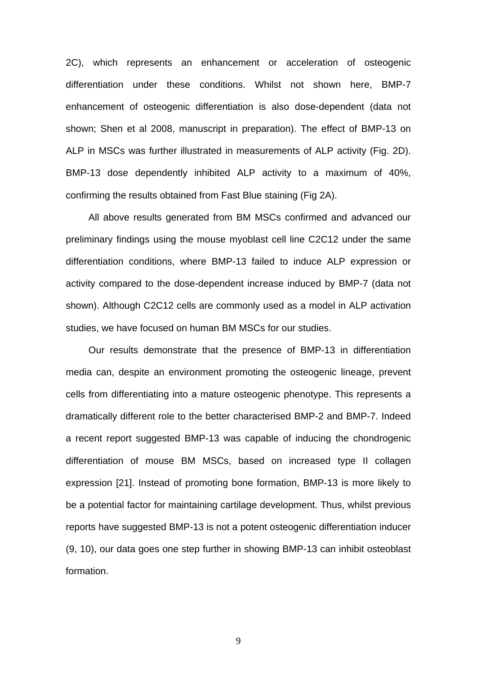2C), which represents an enhancement or acceleration of osteogenic differentiation under these conditions. Whilst not shown here, BMP-7 enhancement of osteogenic differentiation is also dose-dependent (data not shown; Shen et al 2008, manuscript in preparation). The effect of BMP-13 on ALP in MSCs was further illustrated in measurements of ALP activity (Fig. 2D). BMP-13 dose dependently inhibited ALP activity to a maximum of 40%, confirming the results obtained from Fast Blue staining (Fig 2A).

All above results generated from BM MSCs confirmed and advanced our preliminary findings using the mouse myoblast cell line C2C12 under the same differentiation conditions, where BMP-13 failed to induce ALP expression or activity compared to the dose-dependent increase induced by BMP-7 (data not shown). Although C2C12 cells are commonly used as a model in ALP activation studies, we have focused on human BM MSCs for our studies.

Our results demonstrate that the presence of BMP-13 in differentiation media can, despite an environment promoting the osteogenic lineage, prevent cells from differentiating into a mature osteogenic phenotype. This represents a dramatically different role to the better characterised BMP-2 and BMP-7. Indeed a recent report suggested BMP-13 was capable of inducing the chondrogenic differentiation of mouse BM MSCs, based on increased type II collagen expression [21]. Instead of promoting bone formation, BMP-13 is more likely to be a potential factor for maintaining cartilage development. Thus, whilst previous reports have suggested BMP-13 is not a potent osteogenic differentiation inducer (9, 10), our data goes one step further in showing BMP-13 can inhibit osteoblast formation.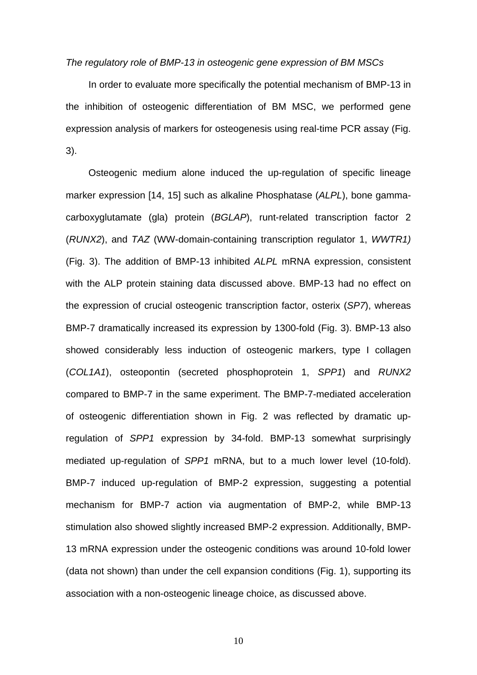#### *The regulatory role of BMP-13 in osteogenic gene expression of BM MSCs*

In order to evaluate more specifically the potential mechanism of BMP-13 in the inhibition of osteogenic differentiation of BM MSC, we performed gene expression analysis of markers for osteogenesis using real-time PCR assay (Fig. 3).

Osteogenic medium alone induced the up-regulation of specific lineage marker expression [14, 15] such as alkaline Phosphatase (*ALPL*), bone gammacarboxyglutamate (gla) protein (*BGLAP*), runt-related transcription factor 2 (*RUNX2*), and *TAZ* (WW-domain-containing transcription regulator 1, *WWTR1)* (Fig. 3). The addition of BMP-13 inhibited *ALPL* mRNA expression, consistent with the ALP protein staining data discussed above. BMP-13 had no effect on the expression of crucial osteogenic transcription factor, osterix (*SP7*), whereas BMP-7 dramatically increased its expression by 1300-fold (Fig. 3). BMP-13 also showed considerably less induction of osteogenic markers, type I collagen (*COL1A1*), osteopontin (secreted phosphoprotein 1, *SPP1*) and *RUNX2*  compared to BMP-7 in the same experiment. The BMP-7-mediated acceleration of osteogenic differentiation shown in Fig. 2 was reflected by dramatic upregulation of *SPP1* expression by 34-fold. BMP-13 somewhat surprisingly mediated up-regulation of *SPP1* mRNA, but to a much lower level (10-fold). BMP-7 induced up-regulation of BMP-2 expression, suggesting a potential mechanism for BMP-7 action via augmentation of BMP-2, while BMP-13 stimulation also showed slightly increased BMP-2 expression. Additionally, BMP-13 mRNA expression under the osteogenic conditions was around 10-fold lower (data not shown) than under the cell expansion conditions (Fig. 1), supporting its association with a non-osteogenic lineage choice, as discussed above.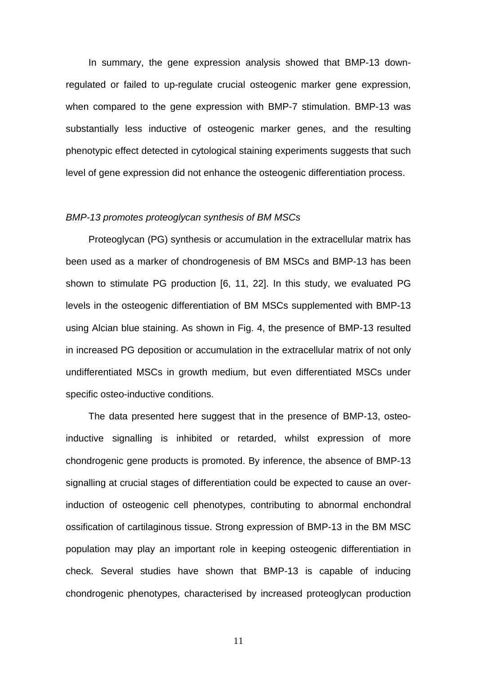In summary, the gene expression analysis showed that BMP-13 downregulated or failed to up-regulate crucial osteogenic marker gene expression, when compared to the gene expression with BMP-7 stimulation. BMP-13 was substantially less inductive of osteogenic marker genes, and the resulting phenotypic effect detected in cytological staining experiments suggests that such level of gene expression did not enhance the osteogenic differentiation process.

#### *BMP-13 promotes proteoglycan synthesis of BM MSCs*

Proteoglycan (PG) synthesis or accumulation in the extracellular matrix has been used as a marker of chondrogenesis of BM MSCs and BMP-13 has been shown to stimulate PG production [6, 11, 22]. In this study, we evaluated PG levels in the osteogenic differentiation of BM MSCs supplemented with BMP-13 using Alcian blue staining. As shown in Fig. 4, the presence of BMP-13 resulted in increased PG deposition or accumulation in the extracellular matrix of not only undifferentiated MSCs in growth medium, but even differentiated MSCs under specific osteo-inductive conditions.

 The data presented here suggest that in the presence of BMP-13, osteoinductive signalling is inhibited or retarded, whilst expression of more chondrogenic gene products is promoted. By inference, the absence of BMP-13 signalling at crucial stages of differentiation could be expected to cause an overinduction of osteogenic cell phenotypes, contributing to abnormal enchondral ossification of cartilaginous tissue. Strong expression of BMP-13 in the BM MSC population may play an important role in keeping osteogenic differentiation in check. Several studies have shown that BMP-13 is capable of inducing chondrogenic phenotypes, characterised by increased proteoglycan production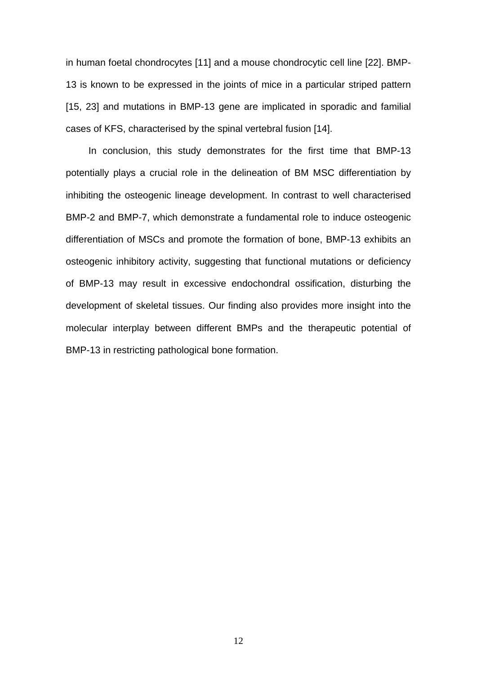in human foetal chondrocytes [11] and a mouse chondrocytic cell line [22]. BMP-13 is known to be expressed in the joints of mice in a particular striped pattern [15, 23] and mutations in BMP-13 gene are implicated in sporadic and familial cases of KFS, characterised by the spinal vertebral fusion [14].

In conclusion, this study demonstrates for the first time that BMP-13 potentially plays a crucial role in the delineation of BM MSC differentiation by inhibiting the osteogenic lineage development. In contrast to well characterised BMP-2 and BMP-7, which demonstrate a fundamental role to induce osteogenic differentiation of MSCs and promote the formation of bone, BMP-13 exhibits an osteogenic inhibitory activity, suggesting that functional mutations or deficiency of BMP-13 may result in excessive endochondral ossification, disturbing the development of skeletal tissues. Our finding also provides more insight into the molecular interplay between different BMPs and the therapeutic potential of BMP-13 in restricting pathological bone formation.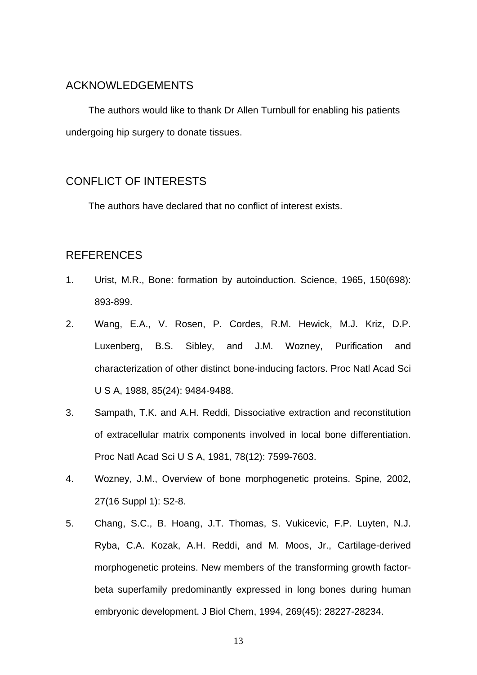# ACKNOWLEDGEMENTS

The authors would like to thank Dr Allen Turnbull for enabling his patients undergoing hip surgery to donate tissues.

# CONFLICT OF INTERESTS

The authors have declared that no conflict of interest exists.

# REFERENCES

- 1. Urist, M.R., Bone: formation by autoinduction. Science, 1965, 150(698): 893-899.
- 2. Wang, E.A., V. Rosen, P. Cordes, R.M. Hewick, M.J. Kriz, D.P. Luxenberg, B.S. Sibley, and J.M. Wozney, Purification and characterization of other distinct bone-inducing factors. Proc Natl Acad Sci U S A, 1988, 85(24): 9484-9488.
- 3. Sampath, T.K. and A.H. Reddi, Dissociative extraction and reconstitution of extracellular matrix components involved in local bone differentiation. Proc Natl Acad Sci U S A, 1981, 78(12): 7599-7603.
- 4. Wozney, J.M., Overview of bone morphogenetic proteins. Spine, 2002, 27(16 Suppl 1): S2-8.
- 5. Chang, S.C., B. Hoang, J.T. Thomas, S. Vukicevic, F.P. Luyten, N.J. Ryba, C.A. Kozak, A.H. Reddi, and M. Moos, Jr., Cartilage-derived morphogenetic proteins. New members of the transforming growth factorbeta superfamily predominantly expressed in long bones during human embryonic development. J Biol Chem, 1994, 269(45): 28227-28234.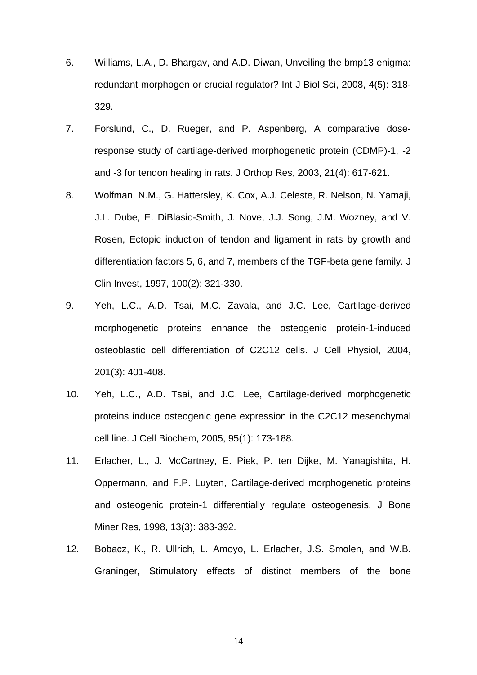- 6. Williams, L.A., D. Bhargav, and A.D. Diwan, Unveiling the bmp13 enigma: redundant morphogen or crucial regulator? Int J Biol Sci, 2008, 4(5): 318- 329.
- 7. Forslund, C., D. Rueger, and P. Aspenberg, A comparative doseresponse study of cartilage-derived morphogenetic protein (CDMP)-1, -2 and -3 for tendon healing in rats. J Orthop Res, 2003, 21(4): 617-621.
- 8. Wolfman, N.M., G. Hattersley, K. Cox, A.J. Celeste, R. Nelson, N. Yamaji, J.L. Dube, E. DiBlasio-Smith, J. Nove, J.J. Song, J.M. Wozney, and V. Rosen, Ectopic induction of tendon and ligament in rats by growth and differentiation factors 5, 6, and 7, members of the TGF-beta gene family. J Clin Invest, 1997, 100(2): 321-330.
- 9. Yeh, L.C., A.D. Tsai, M.C. Zavala, and J.C. Lee, Cartilage-derived morphogenetic proteins enhance the osteogenic protein-1-induced osteoblastic cell differentiation of C2C12 cells. J Cell Physiol, 2004, 201(3): 401-408.
- 10. Yeh, L.C., A.D. Tsai, and J.C. Lee, Cartilage-derived morphogenetic proteins induce osteogenic gene expression in the C2C12 mesenchymal cell line. J Cell Biochem, 2005, 95(1): 173-188.
- 11. Erlacher, L., J. McCartney, E. Piek, P. ten Dijke, M. Yanagishita, H. Oppermann, and F.P. Luyten, Cartilage-derived morphogenetic proteins and osteogenic protein-1 differentially regulate osteogenesis. J Bone Miner Res, 1998, 13(3): 383-392.
- 12. Bobacz, K., R. Ullrich, L. Amoyo, L. Erlacher, J.S. Smolen, and W.B. Graninger, Stimulatory effects of distinct members of the bone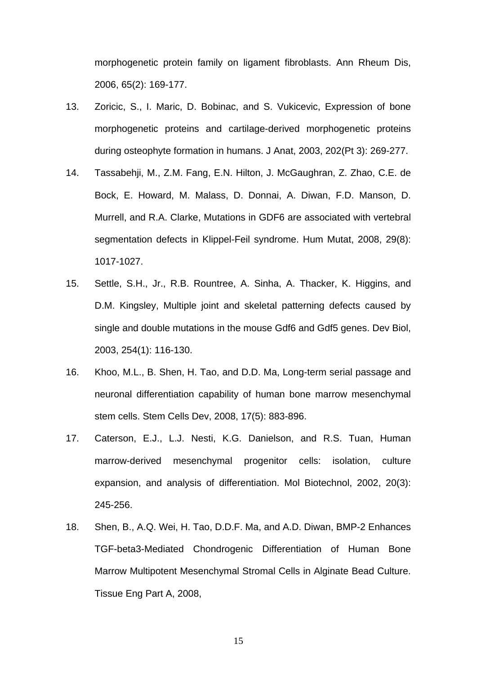morphogenetic protein family on ligament fibroblasts. Ann Rheum Dis, 2006, 65(2): 169-177.

- 13. Zoricic, S., I. Maric, D. Bobinac, and S. Vukicevic, Expression of bone morphogenetic proteins and cartilage-derived morphogenetic proteins during osteophyte formation in humans. J Anat, 2003, 202(Pt 3): 269-277.
- 14. Tassabehji, M., Z.M. Fang, E.N. Hilton, J. McGaughran, Z. Zhao, C.E. de Bock, E. Howard, M. Malass, D. Donnai, A. Diwan, F.D. Manson, D. Murrell, and R.A. Clarke, Mutations in GDF6 are associated with vertebral segmentation defects in Klippel-Feil syndrome. Hum Mutat, 2008, 29(8): 1017-1027.
- 15. Settle, S.H., Jr., R.B. Rountree, A. Sinha, A. Thacker, K. Higgins, and D.M. Kingsley, Multiple joint and skeletal patterning defects caused by single and double mutations in the mouse Gdf6 and Gdf5 genes. Dev Biol, 2003, 254(1): 116-130.
- 16. Khoo, M.L., B. Shen, H. Tao, and D.D. Ma, Long-term serial passage and neuronal differentiation capability of human bone marrow mesenchymal stem cells. Stem Cells Dev, 2008, 17(5): 883-896.
- 17. Caterson, E.J., L.J. Nesti, K.G. Danielson, and R.S. Tuan, Human marrow-derived mesenchymal progenitor cells: isolation, culture expansion, and analysis of differentiation. Mol Biotechnol, 2002, 20(3): 245-256.
- 18. Shen, B., A.Q. Wei, H. Tao, D.D.F. Ma, and A.D. Diwan, BMP-2 Enhances TGF-beta3-Mediated Chondrogenic Differentiation of Human Bone Marrow Multipotent Mesenchymal Stromal Cells in Alginate Bead Culture. Tissue Eng Part A, 2008,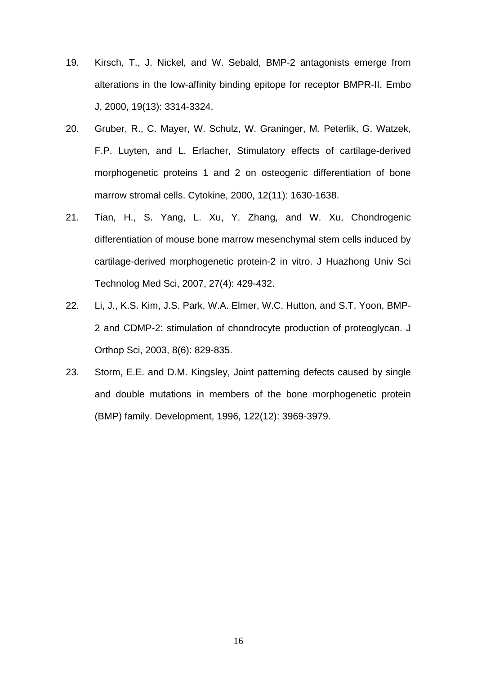- 19. Kirsch, T., J. Nickel, and W. Sebald, BMP-2 antagonists emerge from alterations in the low-affinity binding epitope for receptor BMPR-II. Embo J, 2000, 19(13): 3314-3324.
- 20. Gruber, R., C. Mayer, W. Schulz, W. Graninger, M. Peterlik, G. Watzek, F.P. Luyten, and L. Erlacher, Stimulatory effects of cartilage-derived morphogenetic proteins 1 and 2 on osteogenic differentiation of bone marrow stromal cells. Cytokine, 2000, 12(11): 1630-1638.
- 21. Tian, H., S. Yang, L. Xu, Y. Zhang, and W. Xu, Chondrogenic differentiation of mouse bone marrow mesenchymal stem cells induced by cartilage-derived morphogenetic protein-2 in vitro. J Huazhong Univ Sci Technolog Med Sci, 2007, 27(4): 429-432.
- 22. Li, J., K.S. Kim, J.S. Park, W.A. Elmer, W.C. Hutton, and S.T. Yoon, BMP-2 and CDMP-2: stimulation of chondrocyte production of proteoglycan. J Orthop Sci, 2003, 8(6): 829-835.
- 23. Storm, E.E. and D.M. Kingsley, Joint patterning defects caused by single and double mutations in members of the bone morphogenetic protein (BMP) family. Development, 1996, 122(12): 3969-3979.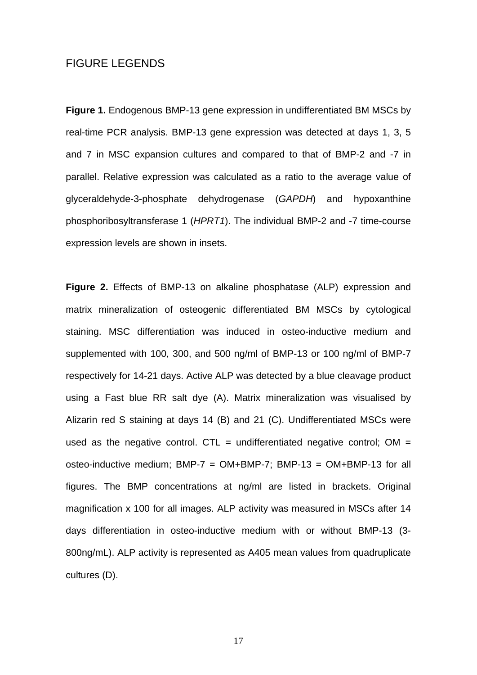# FIGURE LEGENDS

**Figure 1.** Endogenous BMP-13 gene expression in undifferentiated BM MSCs by real-time PCR analysis. BMP-13 gene expression was detected at days 1, 3, 5 and 7 in MSC expansion cultures and compared to that of BMP-2 and -7 in parallel. Relative expression was calculated as a ratio to the average value of glyceraldehyde-3-phosphate dehydrogenase (*GAPDH*) and hypoxanthine phosphoribosyltransferase 1 (*HPRT1*). The individual BMP-2 and -7 time-course expression levels are shown in insets.

**Figure 2.** Effects of BMP-13 on alkaline phosphatase (ALP) expression and matrix mineralization of osteogenic differentiated BM MSCs by cytological staining. MSC differentiation was induced in osteo-inductive medium and supplemented with 100, 300, and 500 ng/ml of BMP-13 or 100 ng/ml of BMP-7 respectively for 14-21 days. Active ALP was detected by a blue cleavage product using a Fast blue RR salt dye (A). Matrix mineralization was visualised by Alizarin red S staining at days 14 (B) and 21 (C). Undifferentiated MSCs were used as the negative control. CTL = undifferentiated negative control; OM = osteo-inductive medium; BMP-7 =  $OM+BMP-7$ ; BMP-13 =  $OM+BMP-13$  for all figures. The BMP concentrations at ng/ml are listed in brackets. Original magnification x 100 for all images. ALP activity was measured in MSCs after 14 days differentiation in osteo-inductive medium with or without BMP-13 (3- 800ng/mL). ALP activity is represented as A405 mean values from quadruplicate cultures (D).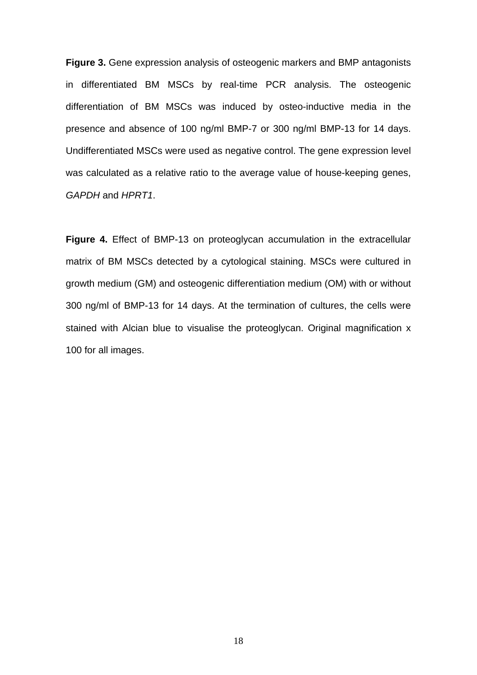**Figure 3.** Gene expression analysis of osteogenic markers and BMP antagonists in differentiated BM MSCs by real-time PCR analysis. The osteogenic differentiation of BM MSCs was induced by osteo-inductive media in the presence and absence of 100 ng/ml BMP-7 or 300 ng/ml BMP-13 for 14 days. Undifferentiated MSCs were used as negative control. The gene expression level was calculated as a relative ratio to the average value of house-keeping genes, *GAPDH* and *HPRT1*.

**Figure 4.** Effect of BMP-13 on proteoglycan accumulation in the extracellular matrix of BM MSCs detected by a cytological staining. MSCs were cultured in growth medium (GM) and osteogenic differentiation medium (OM) with or without 300 ng/ml of BMP-13 for 14 days. At the termination of cultures, the cells were stained with Alcian blue to visualise the proteoglycan. Original magnification x 100 for all images.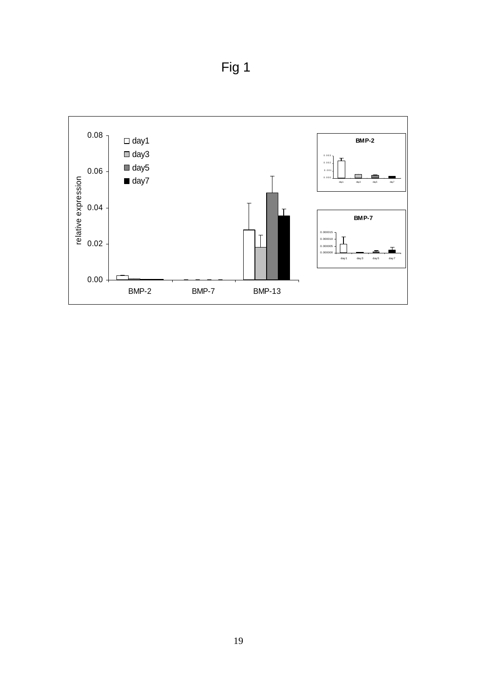Fig 1

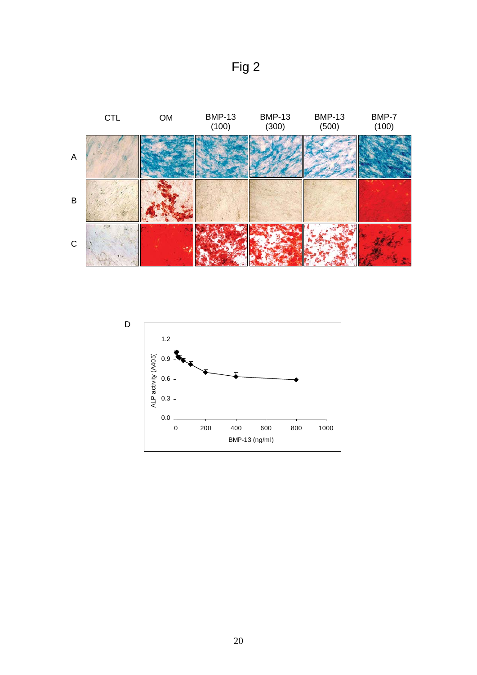



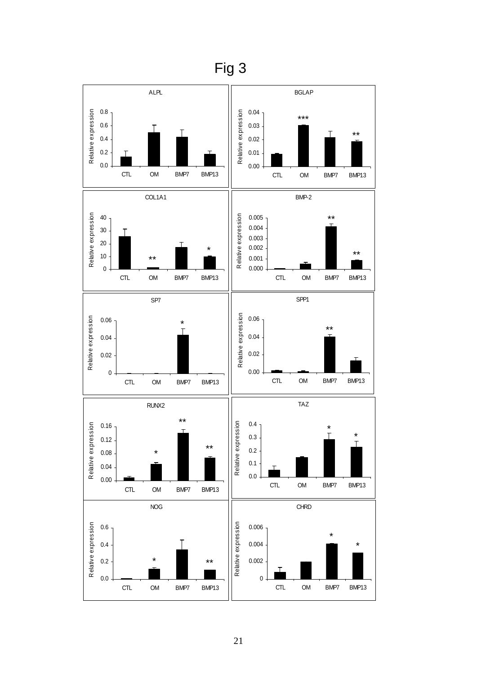

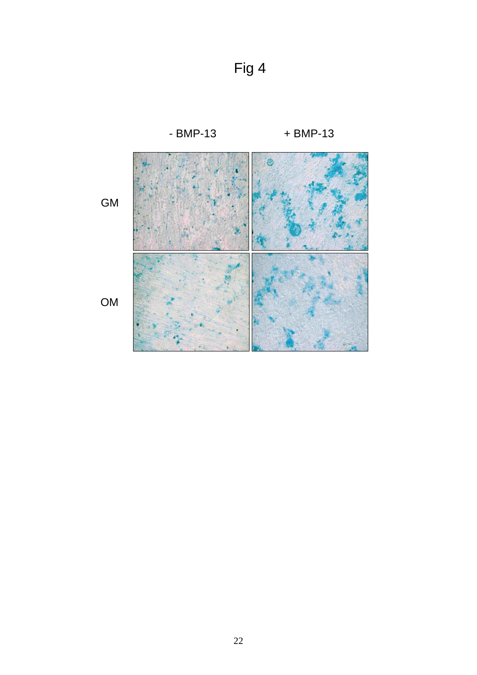